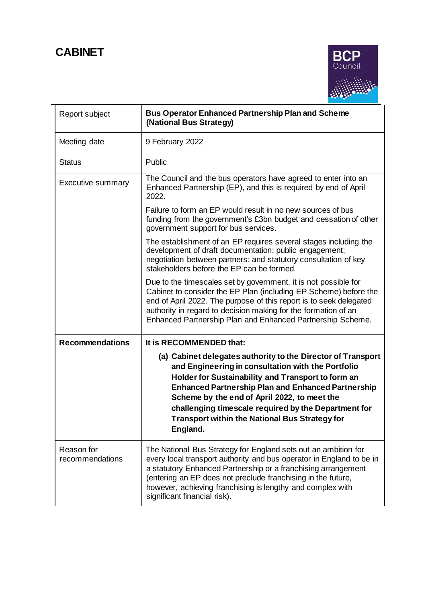

| Report subject                | <b>Bus Operator Enhanced Partnership Plan and Scheme</b><br>(National Bus Strategy)                                                                                                                                                                                                                                                                                                                                |
|-------------------------------|--------------------------------------------------------------------------------------------------------------------------------------------------------------------------------------------------------------------------------------------------------------------------------------------------------------------------------------------------------------------------------------------------------------------|
| Meeting date                  | 9 February 2022                                                                                                                                                                                                                                                                                                                                                                                                    |
| <b>Status</b>                 | Public                                                                                                                                                                                                                                                                                                                                                                                                             |
| <b>Executive summary</b>      | The Council and the bus operators have agreed to enter into an<br>Enhanced Partnership (EP), and this is required by end of April<br>2022.                                                                                                                                                                                                                                                                         |
|                               | Failure to form an EP would result in no new sources of bus<br>funding from the government's £3bn budget and cessation of other<br>government support for bus services.                                                                                                                                                                                                                                            |
|                               | The establishment of an EP requires several stages including the<br>development of draft documentation; public engagement;<br>negotiation between partners; and statutory consultation of key<br>stakeholders before the EP can be formed.                                                                                                                                                                         |
|                               | Due to the timescales set by government, it is not possible for<br>Cabinet to consider the EP Plan (including EP Scheme) before the<br>end of April 2022. The purpose of this report is to seek delegated<br>authority in regard to decision making for the formation of an<br>Enhanced Partnership Plan and Enhanced Partnership Scheme.                                                                          |
| <b>Recommendations</b>        | It is RECOMMENDED that:                                                                                                                                                                                                                                                                                                                                                                                            |
|                               | (a) Cabinet delegates authority to the Director of Transport<br>and Engineering in consultation with the Portfolio<br>Holder for Sustainability and Transport to form an<br><b>Enhanced Partnership Plan and Enhanced Partnership</b><br>Scheme by the end of April 2022, to meet the<br>challenging timescale required by the Department for<br><b>Transport within the National Bus Strategy for</b><br>England. |
| Reason for<br>recommendations | The National Bus Strategy for England sets out an ambition for<br>every local transport authority and bus operator in England to be in<br>a statutory Enhanced Partnership or a franchising arrangement<br>(entering an EP does not preclude franchising in the future,<br>however, achieving franchising is lengthy and complex with<br>significant financial risk).                                              |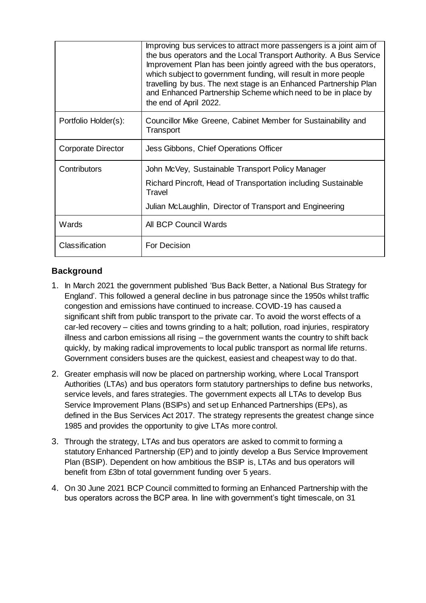|                           | Improving bus services to attract more passengers is a joint aim of<br>the bus operators and the Local Transport Authority. A Bus Service<br>Improvement Plan has been jointly agreed with the bus operators,<br>which subject to government funding, will result in more people<br>travelling by bus. The next stage is an Enhanced Partnership Plan<br>and Enhanced Partnership Scheme which need to be in place by<br>the end of April 2022. |
|---------------------------|-------------------------------------------------------------------------------------------------------------------------------------------------------------------------------------------------------------------------------------------------------------------------------------------------------------------------------------------------------------------------------------------------------------------------------------------------|
| Portfolio Holder(s):      | Councillor Mike Greene, Cabinet Member for Sustainability and<br>Transport                                                                                                                                                                                                                                                                                                                                                                      |
| <b>Corporate Director</b> | Jess Gibbons, Chief Operations Officer                                                                                                                                                                                                                                                                                                                                                                                                          |
| Contributors              | John McVey, Sustainable Transport Policy Manager                                                                                                                                                                                                                                                                                                                                                                                                |
|                           | Richard Pincroft, Head of Transportation including Sustainable<br>Travel                                                                                                                                                                                                                                                                                                                                                                        |
|                           | Julian McLaughlin, Director of Transport and Engineering                                                                                                                                                                                                                                                                                                                                                                                        |
| Wards                     | All BCP Council Wards                                                                                                                                                                                                                                                                                                                                                                                                                           |
| Classification            | For Decision                                                                                                                                                                                                                                                                                                                                                                                                                                    |

# **Background**

- 1. In March 2021 the government published 'Bus Back Better, a National Bus Strategy for England'. This followed a general decline in bus patronage since the 1950s whilst traffic congestion and emissions have continued to increase. COVID-19 has caused a significant shift from public transport to the private car. To avoid the worst effects of a car-led recovery – cities and towns grinding to a halt; pollution, road injuries, respiratory illness and carbon emissions all rising – the government wants the country to shift back quickly, by making radical improvements to local public transport as normal life returns. Government considers buses are the quickest, easiest and cheapest way to do that.
- 2. Greater emphasis will now be placed on partnership working, where Local Transport Authorities (LTAs) and bus operators form statutory partnerships to define bus networks, service levels, and fares strategies. The government expects all LTAs to develop Bus Service Improvement Plans (BSIPs) and set up Enhanced Partnerships (EPs), as defined in the Bus Services Act 2017. The strategy represents the greatest change since 1985 and provides the opportunity to give LTAs more control.
- 3. Through the strategy, LTAs and bus operators are asked to commit to forming a statutory Enhanced Partnership (EP) and to jointly develop a Bus Service Improvement Plan (BSIP). Dependent on how ambitious the BSIP is, LTAs and bus operators will benefit from £3bn of total government funding over 5 years.
- 4. On 30 June 2021 BCP Council committed to forming an Enhanced Partnership with the bus operators across the BCP area. In line with government's tight timescale, on 31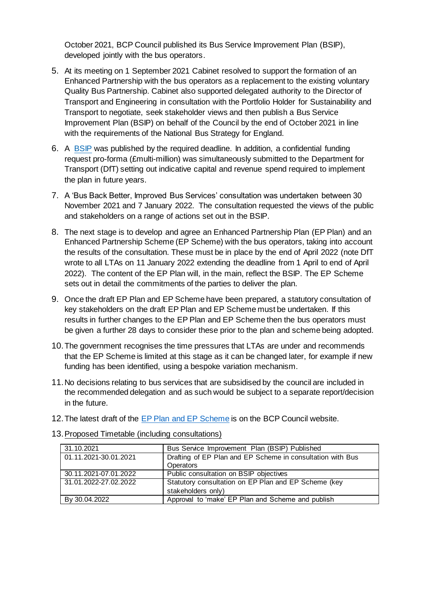October 2021, BCP Council published its Bus Service Improvement Plan (BSIP), developed jointly with the bus operators.

- 5. At its meeting on 1 September 2021 Cabinet resolved to support the formation of an Enhanced Partnership with the bus operators as a replacement to the existing voluntary Quality Bus Partnership. Cabinet also supported delegated authority to the Director of Transport and Engineering in consultation with the Portfolio Holder for Sustainability and Transport to negotiate, seek stakeholder views and then publish a Bus Service Improvement Plan (BSIP) on behalf of the Council by the end of October 2021 in line with the requirements of the National Bus Strategy for England.
- 6. A [BSIP](https://www.bcpcouncil.gov.uk/News/News-Features/Transforming-Travel/Docs/Bus-Service-Improvement-Plan.pdf) was published by the required deadline. In addition, a confidential funding request pro-forma (£multi-million) was simultaneously submitted to the Department for Transport (DfT) setting out indicative capital and revenue spend required to implement the plan in future years.
- 7. A 'Bus Back Better, Improved Bus Services' consultation was undertaken between 30 November 2021 and 7 January 2022. The consultation requested the views of the public and stakeholders on a range of actions set out in the BSIP.
- 8. The next stage is to develop and agree an Enhanced Partnership Plan (EP Plan) and an Enhanced Partnership Scheme (EP Scheme) with the bus operators, taking into account the results of the consultation. These must be in place by the end of April 2022 (note DfT wrote to all LTAs on 11 January 2022 extending the deadline from 1 April to end of April 2022). The content of the EP Plan will, in the main, reflect the BSIP. The EP Scheme sets out in detail the commitments of the parties to deliver the plan.
- 9. Once the draft EP Plan and EP Scheme have been prepared, a statutory consultation of key stakeholders on the draft EP Plan and EP Scheme must be undertaken. If this results in further changes to the EP Plan and EP Scheme then the bus operators must be given a further 28 days to consider these prior to the plan and scheme being adopted.
- 10.The government recognises the time pressures that LTAs are under and recommends that the EP Scheme is limited at this stage as it can be changed later, for example if new funding has been identified, using a bespoke variation mechanism.
- 11.No decisions relating to bus services that are subsidised by the council are included in the recommended delegation and as such would be subject to a separate report/decision in the future.
- 12.The latest draft of the [EP Plan and EP Scheme](https://www.bcpcouncil.gov.uk/News/News-Features/Transforming-Travel/draft-enhanced-partnership-plan-and-enhanced-partnership-scheme.aspx) is on the BCP Council website.

| 31.10.2021            | Bus Service Improvement Plan (BSIP) Published              |
|-----------------------|------------------------------------------------------------|
| 01.11.2021-30.01.2021 | Drafting of EP Plan and EP Scheme in consultation with Bus |
|                       | <b>Operators</b>                                           |
| 30.11.2021-07.01.2022 | Public consultation on BSIP objectives                     |
| 31.01.2022-27.02.2022 | Statutory consultation on EP Plan and EP Scheme (key       |
|                       | stakeholders only)                                         |
| By 30.04.2022         | Approval to 'make' EP Plan and Scheme and publish          |

13.Proposed Timetable (including consultations)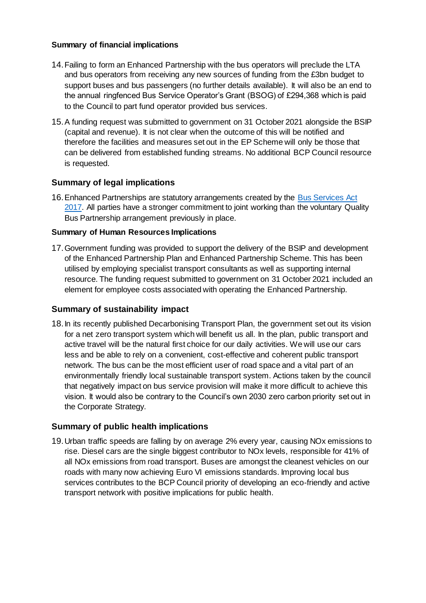#### **Summary of financial implications**

- 14.Failing to form an Enhanced Partnership with the bus operators will preclude the LTA and bus operators from receiving any new sources of funding from the £3bn budget to support buses and bus passengers (no further details available). It will also be an end to the annual ringfenced Bus Service Operator's Grant (BSOG) of £294,368 which is paid to the Council to part fund operator provided bus services.
- 15.A funding request was submitted to government on 31 October 2021 alongside the BSIP (capital and revenue). It is not clear when the outcome of this will be notified and therefore the facilities and measures set out in the EP Scheme will only be those that can be delivered from established funding streams. No additional BCP Council resource is requested.

# **Summary of legal implications**

16.Enhanced Partnerships are statutory arrangements created by the [Bus Services Act](https://assets.publishing.service.gov.uk/government/uploads/system/uploads/attachment_data/file/918498/bus-services-act-2017-new-powers-and-opportunities.pdf)  [2017.](https://assets.publishing.service.gov.uk/government/uploads/system/uploads/attachment_data/file/918498/bus-services-act-2017-new-powers-and-opportunities.pdf) All parties have a stronger commitment to joint working than the voluntary Quality Bus Partnership arrangement previously in place.

### **Summary of Human Resources Implications**

17.Government funding was provided to support the delivery of the BSIP and development of the Enhanced Partnership Plan and Enhanced Partnership Scheme. This has been utilised by employing specialist transport consultants as well as supporting internal resource. The funding request submitted to government on 31 October 2021 included an element for employee costs associated with operating the Enhanced Partnership.

## **Summary of sustainability impact**

18.In its recently published Decarbonising Transport Plan, the government set out its vision for a net zero transport system which will benefit us all. In the plan, public transport and active travel will be the natural first choice for our daily activities. We will use our cars less and be able to rely on a convenient, cost-effective and coherent public transport network. The bus can be the most efficient user of road space and a vital part of an environmentally friendly local sustainable transport system. Actions taken by the council that negatively impact on bus service provision will make it more difficult to achieve this vision. It would also be contrary to the Council's own 2030 zero carbon priority set out in the Corporate Strategy.

## **Summary of public health implications**

19.Urban traffic speeds are falling by on average 2% every year, causing NOx emissions to rise. Diesel cars are the single biggest contributor to NOx levels, responsible for 41% of all NOx emissions from road transport. Buses are amongst the cleanest vehicles on our roads with many now achieving Euro VI emissions standards. Improving local bus services contributes to the BCP Council priority of developing an eco-friendly and active transport network with positive implications for public health.